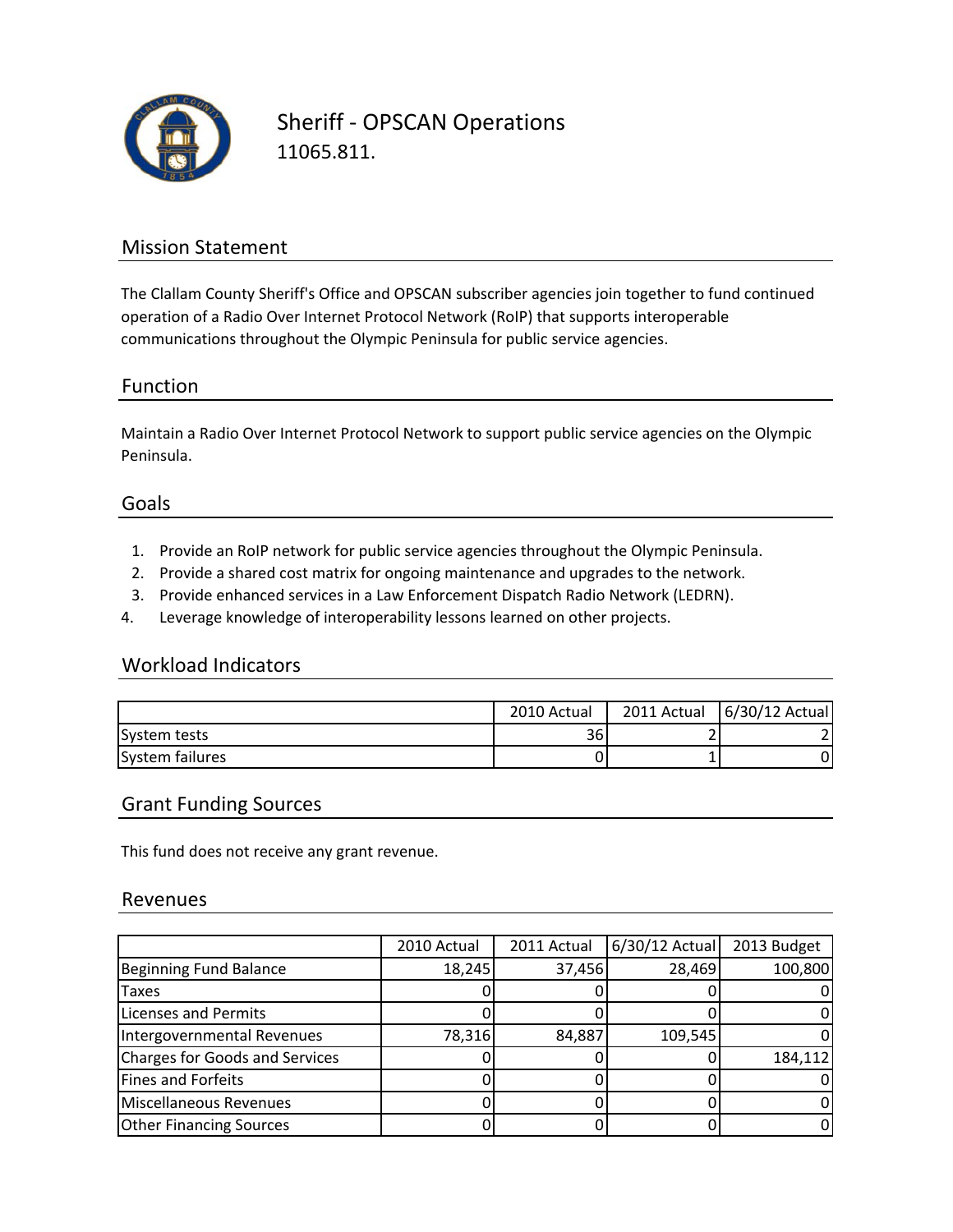

Sheriff ‐ OPSCAN Operations 11065.811.

# Mission Statement

The Clallam County Sheriff's Office and OPSCAN subscriber agencies join together to fund continued operation of a Radio Over Internet Protocol Network (RoIP) that supports interoperable communications throughout the Olympic Peninsula for public service agencies.

# Function

Maintain a Radio Over Internet Protocol Network to support public service agencies on the Olympic Peninsula.

### Goals

- 1. Provide an RoIP network for public service agencies throughout the Olympic Peninsula.
- 2. Provide a shared cost matrix for ongoing maintenance and upgrades to the network.
- 3. Provide enhanced services in a Law Enforcement Dispatch Radio Network (LEDRN).
- 4. Leverage knowledge of interoperability lessons learned on other projects.

# Workload Indicators

|                 | 2010 Actual | 2011 Actual | 6/30/12 Actual |
|-----------------|-------------|-------------|----------------|
| System tests    | 36          |             |                |
| System failures |             |             | 0              |

#### Grant Funding Sources

This fund does not receive any grant revenue.

#### Revenues

|                                       | 2010 Actual | 2011 Actual | $6/30/12$ Actual | 2013 Budget |
|---------------------------------------|-------------|-------------|------------------|-------------|
| <b>Beginning Fund Balance</b>         | 18,245      | 37,456      | 28,469           | 100,800     |
| Taxes                                 |             |             |                  |             |
| <b>Licenses and Permits</b>           |             |             |                  |             |
| Intergovernmental Revenues            | 78,316      | 84,887      | 109,545          |             |
| <b>Charges for Goods and Services</b> |             |             |                  | 184,112     |
| <b>Fines and Forfeits</b>             |             |             |                  |             |
| Miscellaneous Revenues                |             |             |                  |             |
| <b>Other Financing Sources</b>        |             |             |                  |             |